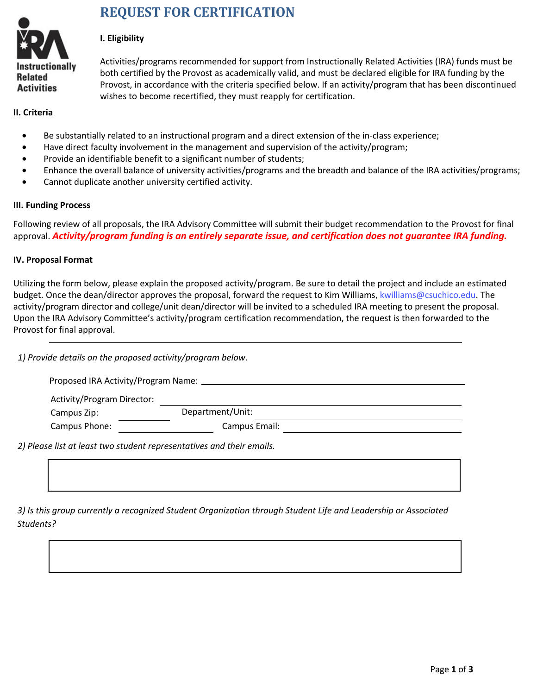

# **REQUEST FOR CERTIFICATION**

### **I. Eligibility**

Activities/programs recommended for support from Instructionally Related Activities (IRA) funds must be both certified by the Provost as academically valid, and must be declared eligible for IRA funding by the Provost, in accordance with the criteria specified below. If an activity/program that has been discontinued wishes to become recertified, they must reapply for certification.

#### **II. Criteria**

- Be substantially related to an instructional program and a direct extension of the in-class experience;
- Have direct faculty involvement in the management and supervision of the activity/program;
- Provide an identifiable benefit to a significant number of students;
- Enhance the overall balance of university activities/programs and the breadth and balance of the IRA activities/programs;
- Cannot duplicate another university certified activity.

#### **III. Funding Process**

Following review of all proposals, the IRA Advisory Committee will submit their budget recommendation to the Provost for final approval. *Activity/program funding is an entirely separate issue, and certification does not guarantee IRA funding.*

#### **IV. Proposal Format**

Utilizing the form below, please explain the proposed activity/program. Be sure to detail the project and include an estimated budget. Once the dean/director approves the proposal, forward the request to Kim Williams, kwilliams@csuchico.edu. The activity/program director and college/unit dean/director will be invited to a scheduled IRA meeting to present the proposal. Upon the IRA Advisory Committee's activity/program certification recommendation, the request is then forwarded to the Provost for final approval.

*1) Provide details on the proposed activity/program below*.

| Proposed IRA Activity/Program Name: |                  |  |  |
|-------------------------------------|------------------|--|--|
| Activity/Program Director:          |                  |  |  |
| Campus Zip:                         | Department/Unit: |  |  |
| Campus Phone:                       | Campus Email:    |  |  |
|                                     |                  |  |  |

*2) Please list at least two student representatives and their emails.*

*3) Is this group currently a recognized Student Organization through Student Life and Leadership or Associated Students?*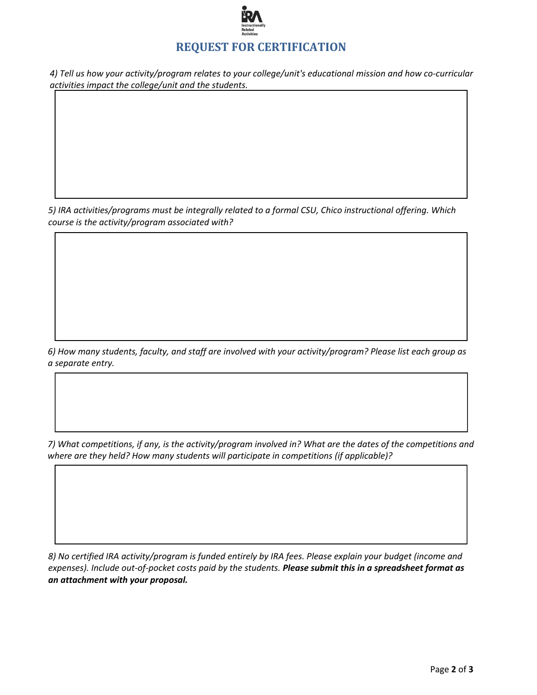

*4) Tell us how your activity/program relates to your college/unit's educational mission and how co-curricular activities impact the college/unit and the students.*

*5) IRA activities/programs must be integrally related to a formal CSU, Chico instructional offering. Which course is the activity/program associated with?*

٦

*6) How many students, faculty, and staff are involved with your activity/program? Please list each group as a separate entry.*

*7) What competitions, if any, is the activity/program involved in? What are the dates of the competitions and where are they held? How many students will participate in competitions (if applicable)?*

*8) No certified IRA activity/program is funded entirely by IRA fees. Please explain your budget (income and expenses). Include out-of-pocket costs paid by the students. Please submit this in a spreadsheet format as an attachment with your proposal.*